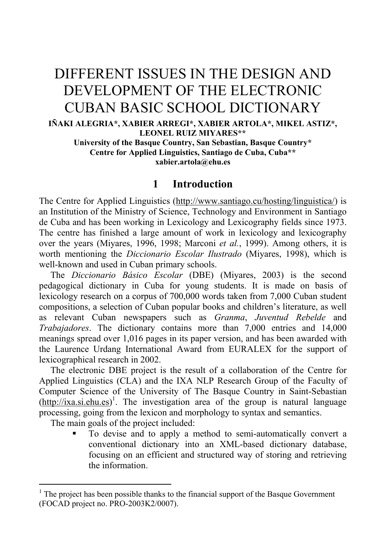# DIFFERENT ISSUES IN THE DESIGN AND DEVELOPMENT OF THE ELECTRONIC CUBAN BASIC SCHOOL DICTIONARY

**IÑAKI ALEGRIA\*, XABIER ARREGI\*, XABIER ARTOLA\*, MIKEL ASTIZ\*, LEONEL RUIZ MIYARES\*\*** 

**University of the Basque Country, San Sebastian, Basque Country\* Centre for Applied Linguistics, Santiago de Cuba, Cuba\*\* xabier.artola@ehu.es**

#### **1 Introduction**

The Centre for Applied Linguistics (http://www.santiago.cu/hosting/linguistica/) is an Institution of the Ministry of Science, Technology and Environment in Santiago de Cuba and has been working in Lexicolo[gy](#page-0-0) and Lexicography fields since 1973. The centre has finished a large amount of work in lexicology and lexicography over the years (Miyares, 1996, 1998; Marconi *et al.*, 1999). Among others, it is worth mentioning the *Diccionario Escolar Ilustrado* (Miyares, 1998), which is well-known and used in Cuban primary schools.

 The *Diccionario Básico Escolar* (DBE) (Miyares, 2003) is the second pedagogical dictionary in Cuba for young students. It is made on basis of lexicology research on a corpus of 700,000 words taken from 7,000 Cuban student compositions, a selection of Cuban popular books and children's literature, as well as relevant Cuban newspapers such as *Granma*, *Juventud Rebelde* and *Trabajadores*. The dictionary contains more than 7,000 entries and 14,000 meanings spread over 1,016 pages in its paper version, and has been awarded with the Laurence Urdang International Award from EURALEX for the support of lexicographical research in 2002.

 The electronic DBE project is the result of a collaboration of the Centre for Applied Linguistics (CLA) and the IXA NLP Research Group of the Faculty of Computer Science of the University of The Basque Country in Saint-Sebastian  $(\frac{http://ixa.si.ehu.es)}{http://ixa.si.ehu.es)}$ . The investigation area of the group is natural language processing, going from the lexicon and morphology to syntax and semantics.

The main goals of the project included:

 $\overline{a}$ 

 To devise and to apply a method to semi-automatically convert a conventional dictionary into an XML-based dictionary database, focusing on an efficient and structured way of storing and retrieving the information.

<span id="page-0-0"></span><sup>&</sup>lt;sup>1</sup> The project has been possible thanks to the financial support of the Basque Government (FOCAD project no. PRO-2003K2/0007).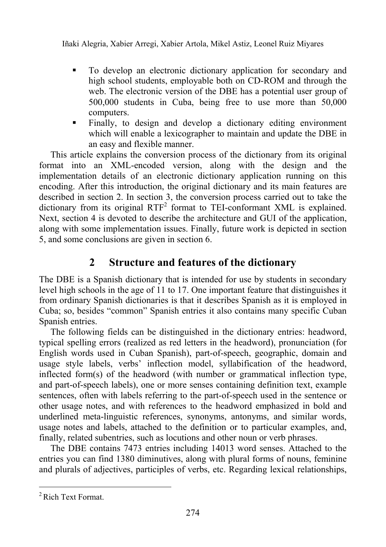- To develop an electronic dictionary application for secondary and high school students, employable both on CD-ROM and through the web. The electronic version of the DBE has a potential user group of 500,000 students in Cuba, being free to use more than 50,000 computers.
- Finally, to design and develop a dictionary editing environment which will enable a lexicographer to maintain and update the DBE in an easy and flexible manner.

 This article explains the conversion process of the dictionary from its original format into an XML-encoded version, along with the design and the implementation details of an electronic dictionary application running on this encoding. After this introduction, the original dictionary and its main features are described in section 2. In section 3, the conversion process carried out to take the dictionary from its original  $RTF^2$  format to TEI-conformant XML is explained. Next, section 4 is devoted to describe the architecture and GUI of the application, along with some implementation issues. Finally, future work is depicted in section 5, and some conclusions are given in section 6.

# **2 Structure and features of the dictionary**

The DBE is a Spanish dictionary that is intended for use by students in secondary level high schools in the age of 11 to 17. One important feature that distinguishes it from ordinary Spanish dictionaries is that it describes Spanish as it is employed in Cuba; so, besides "common" Spanish entries it also contains many specific Cuban Spanish entries.

 The following fields can be distinguished in the dictionary entries: headword, typical spelling errors (realized as red letters in the headword), pronunciation (for English words used in Cuban Spanish), part-of-speech, geographic, domain and usage style labels, verbs' inflection model, syllabification of the headword, inflected form(s) of the headword (with number or grammatical inflection type, and part-of-speech labels), one or more senses containing definition text, example sentences, often with labels referring to the part-of-speech used in the sentence or other usage notes, and with references to the headword emphasized in bold and underlined meta-linguistic references, synonyms, antonyms, and similar words, usage notes and labels, attached to the definition or to particular examples, and, finally, related subentries, such as locutions and other noun or verb phrases.

 The DBE contains 7473 entries including 14013 word senses. Attached to the entries you can find 1380 diminutives, along with plural forms of nouns, feminine and plurals of adjectives, participles of verbs, etc. Regarding lexical relationships,

 $\overline{a}$ 

<sup>2</sup> Rich Text Format.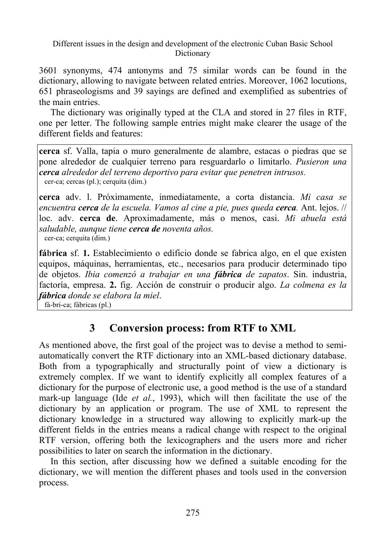3601 synonyms, 474 antonyms and 75 similar words can be found in the dictionary, allowing to navigate between related entries. Moreover, 1062 locutions, 651 phraseologisms and 39 sayings are defined and exemplified as subentries of the main entries.

The dictionary was originally typed at the CLA and stored in 27 files in RTF, one per letter. The following sample entries might make clearer the usage of the different fields and features:

**cerca** sf. Valla, tapia o muro generalmente de alambre, estacas o piedras que se pone alrededor de cualquier terreno para resguardarlo o limitarlo. *Pusieron una cerca alrededor del terreno deportivo para evitar que penetren intrusos.*cer-ca; cercas (pl.); cerquita (dim.)

**cerca** adv. l. Próximamente, inmediatamente, a corta distancia. *Mi casa se encuentra cerca de la escuela. Vamos al cine a pie, pues queda cerca.* Ant. lejos. // loc. adv. **cerca de**. Aproximadamente, más o menos, casi. *Mi abuela está saludable, aunque tiene cerca de noventa años.* cer-ca; cerquita (dim.)

**fábrica** sf. **1.** Establecimiento o edificio donde se fabrica algo, en el que existen equipos, máquinas, herramientas, etc., necesarios para producir determinado tipo de objetos. *Ibia comenzó a trabajar en una fábrica de zapatos*. Sin. industria, factoría, empresa. **2.** fig. Acción de construir o producir algo. *La colmena es la fábrica donde se elabora la miel*. fá-bri-ca; fábricas (pl.)

## **3 Conversion process: from RTF to XML**

As mentioned above, the first goal of the project was to devise a method to semiautomatically convert the RTF dictionary into an XML-based dictionary database. Both from a typographically and structurally point of view a dictionary is extremely complex. If we want to identify explicitly all complex features of a dictionary for the purpose of electronic use, a good method is the use of a standard mark-up language (Ide *et al.*, 1993), which will then facilitate the use of the dictionary by an application or program. The use of XML to represent the dictionary knowledge in a structured way allowing to explicitly mark-up the different fields in the entries means a radical change with respect to the original RTF version, offering both the lexicographers and the users more and richer possibilities to later on search the information in the dictionary.

In this section, after discussing how we defined a suitable encoding for the dictionary, we will mention the different phases and tools used in the conversion process.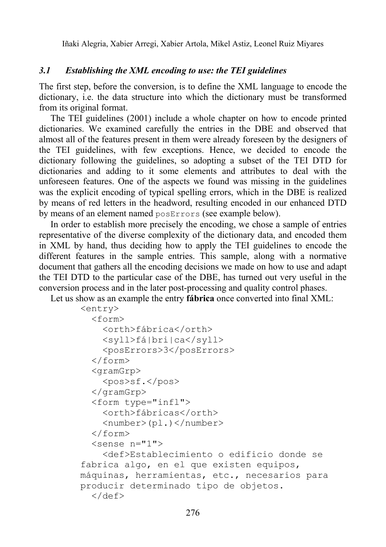#### *3.1 Establishing the XML encoding to use: the TEI guidelines*

The first step, before the conversion, is to define the XML language to encode the dictionary, i.e. the data structure into which the dictionary must be transformed from its original format.

 The TEI guidelines (2001) include a whole chapter on how to encode printed dictionaries. We examined carefully the entries in the DBE and observed that almost all of the features present in them were already foreseen by the designers of the TEI guidelines, with few exceptions. Hence, we decided to encode the dictionary following the guidelines, so adopting a subset of the TEI DTD for dictionaries and adding to it some elements and attributes to deal with the unforeseen features. One of the aspects we found was missing in the guidelines was the explicit encoding of typical spelling errors, which in the DBE is realized by means of red letters in the headword, resulting encoded in our enhanced DTD by means of an element named posErrors (see example below).

 In order to establish more precisely the encoding, we chose a sample of entries representative of the diverse complexity of the dictionary data, and encoded them in XML by hand, thus deciding how to apply the TEI guidelines to encode the different features in the sample entries. This sample, along with a normative document that gathers all the encoding decisions we made on how to use and adapt the TEI DTD to the particular case of the DBE, has turned out very useful in the conversion process and in the later post-processing and quality control phases.

Let us show as an example the entry **fábrica** once converted into final XML:

```
<entry> 
   <form> 
     <orth>fábrica</orth> 
     <syll>fá|bri|ca</syll> 
     <posErrors>3</posErrors> 
   </form> 
   <gramGrp> 
     <pos>sf.</pos> 
   </gramGrp> 
   <form type="infl"> 
     <orth>fábricas</orth> 
     <number>(pl.)</number> 
   </form> 
  \zetasense n="1">
     <def>Establecimiento o edificio donde se 
fabrica algo, en el que existen equipos, 
máquinas, herramientas, etc., necesarios para 
producir determinado tipo de objetos. 
   </def>
```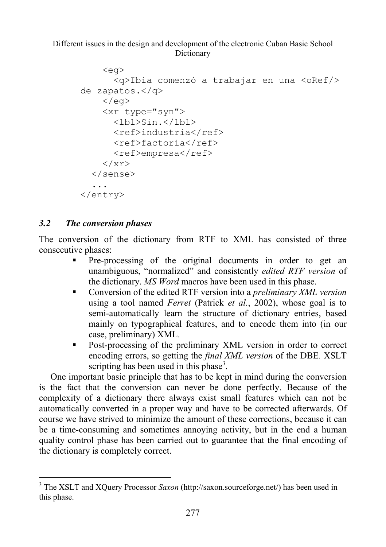```
 <eg> 
        <q>Ibia comenzó a trabajar en una <oRef/> 
de zapatos.</q> 
    \langle/eg>
     <xr type="syn"> 
       <1b1>Sin.<(1b1> <ref>industria</ref> 
        <ref>factoría</ref> 
        <ref>empresa</ref> 
    \langle/xr>
   </sense> 
   ... 
</entry>
```
#### *3.2 The conversion phases*

 $\overline{a}$ 

The conversion of the dictionary from RTF to XML has consisted of three consecutive phases:

- Pre-processing of the original documents in order to get an unambiguous, "normalized" and consistently *edited RTF version* of the dictionary. *MS Word* macros have been used in this phase.
- Conversion of the edited RTF version into a *preliminary XML version* using a tool named *Ferret* (Patrick *et al.*, 2002), whose goal is to semi-automatically learn the structure of dictionary entries, based mainly on typographical features, and to encode them into (in our case, preliminary) XML.
- Post-processing of the preliminary XML version in order to correct encoding errors, so getting the *final XML version* of the DBE*.* XSLT scripting has been used in this phase<sup>3</sup>.

One important basic principle that has to be kept in mind during the conversion is the fact that the conversion can never be done perfectly. Because of the complexity of a dictionary there always exist small features which can not be automatically converted in a proper way and have to be corrected afterwards. Of course we have strived to minimize the amount of these corrections, because it can be a time-consuming and sometimes annoying activity, but in the end a human quality control phase has been carried out to guarantee that the final encoding of the dictionary is completely correct.

<sup>3</sup> The XSLT and XQuery Processor *Saxon* (http://saxon.sourceforge.net/) has been used in this phase.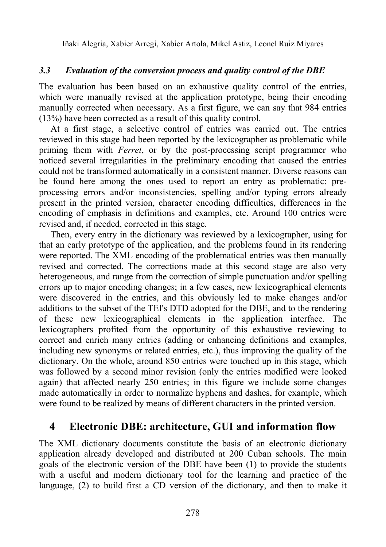#### *3.3 Evaluation of the conversion process and quality control of the DBE*

The evaluation has been based on an exhaustive quality control of the entries, which were manually revised at the application prototype, being their encoding manually corrected when necessary. As a first figure, we can say that 984 entries (13%) have been corrected as a result of this quality control.

 At a first stage, a selective control of entries was carried out. The entries reviewed in this stage had been reported by the lexicographer as problematic while priming them with *Ferret*, or by the post-processing script programmer who noticed several irregularities in the preliminary encoding that caused the entries could not be transformed automatically in a consistent manner. Diverse reasons can be found here among the ones used to report an entry as problematic: preprocessing errors and/or inconsistencies, spelling and/or typing errors already present in the printed version, character encoding difficulties, differences in the encoding of emphasis in definitions and examples, etc. Around 100 entries were revised and, if needed, corrected in this stage.

<span id="page-5-0"></span> Then, every entry in the dictionary was reviewed by a lexicographer, using for that an early prototype of the application, and the problems found in its rendering were reported. The XML encoding of the problematical entries was then manually revised and corrected. The corrections made at this second stage are also very heterogeneous, and range from the correction of simple punctuation and/or spelling errors up to major encoding changes; in a few cases, new lexicographical elements were discovered in the entries, and this obviously led to make changes and/or additions to the subset of the TEI's DTD adopted for the DBE, and to the rendering of these new lexicographical elements in the application interface. The lexicographers profited from the opportunity of this exhaustive reviewing to correct and enrich many entries (adding or enhancing definitions and examples, including new synonyms or related entries, etc.), thus improving the quality of the dictionary. On the whole, around 850 entries were touched up in this stage, which was followed by a second minor revision (only the entries modified were looked again) that affected nearly 250 entries; in this figure we include some changes made automatically in order to normalize hyphens and dashes, for example, which were found to be realized by means of different characters in the printed version.

## **4 Electronic DBE: architecture, GUI and information flow**

The XML dictionary documents constitute the basis of an electronic dictionary application already developed and distributed at 200 Cuban schools. The main goals of the electronic version of the DBE have been (1) to provide the students with a useful and modern dictionary tool for the learning and practice of the language, (2) to build first a CD version of the dictionary, and then to make it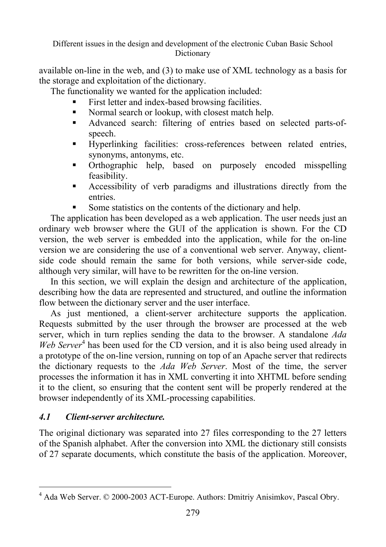available on-line in the web, and (3) to make use of XML technology as a basis for the storage and exploitation of the dictionary.

The functionality we wanted for the application included:

- First letter and index-based browsing facilities.
- Normal search or lookup, with closest match help.
- Advanced search: filtering of entries based on selected parts-ofspeech.
- Hyperlinking facilities: cross-references between related entries, synonyms, antonyms, etc.
- Orthographic help, [b](#page-6-0)ased on purposely encoded misspelling feasibility.
- Accessibility of verb paradigms and illustrations directly from the entries.
- Some statistics on the contents of the dictionary and help.

The application has been developed as a web application. The user needs just an ordinary web browser where the GUI of the application is shown. For the CD version, the web server is embedded into the application, while for the on-line version we are considering the use of a conventional web server. Anyway, clientside code should remain the same for both versions, while server-side code, although very similar, will have to be rewritten for the on-line version.

In this section, we will explain the design and architecture of the application, describing how the data are represented and structured, and outline the information flow between the dictionary server and the user interface.

 As just mentioned, a client-server architecture supports the application. Requests submitted by the user through the browser are processed at the web server, which in turn replies sending the data to the browser. A standalone *Ada*  Web Server<sup>4</sup> has been used for the CD version, and it is also being used already in a prototype of the on-line version, running on top of an Apache server that redirects the dictionary requests to the *Ada Web Server*. Most of the time, the server processes the information it has in XML converting it into XHTML before sending it to the client, so ensuring that the content sent will be properly rendered at the browser independently of its XML-processing capabilities.

## *4.1 Client-server architecture.*

The original dictionary was separated into 27 files corresponding to the 27 letters of the Spanish alphabet. After the conversion into XML the dictionary still consists of 27 separate documents, which constitute the basis of the application. Moreover,

<span id="page-6-0"></span> 4 Ada Web Server. © 2000-2003 ACT-Europe. Authors: Dmitriy Anisimkov, Pascal Obry.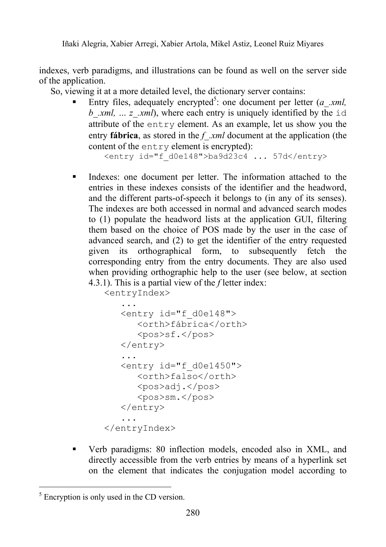indexes, verb paradigms, and illustrations can be found as well on the server side of the application.

So, viewing it at a more detailed level, the dictionary server contains:

■ Entry files, adequately [encry](#page-11-0)pted<sup>5</sup>: one document per letter (*a* .*xml*, *b xml, ... z xml*), where each entry is uniquely identified by the id attribute of the entry element. As an example, let us show you the entry **fábrica**, as stored in the *f\_.xml* document at the application (the content of the entry element is encrypted):

<entry id="f\_d0e148">ba9d23c4 ... 57d</entry>

 Indexes: one document per letter. The information attached to the entries in these indexes consists of the identifier and the headword, and the different parts-of-speech it belongs to (in any of its senses). The indexes are both accessed in normal and advanced search modes to (1) populate the headword lists at the application GUI, filtering them based on the choice of POS made by the user in the case of advanced search, and (2) to get the identifier of the entry requested given its orthographical form, to subsequently fetch the corresponding entry from the entry documents. They are also used when providing orthographic help to the user (see below, at section 4.3.1). This is a partial view of the *f* letter index:

```
<entryIndex>
```

```
 ... 
    <entry id="f_d0e148"> 
       <orth>fábrica</orth> 
       <pos>sf.</pos> 
    </entry> 
    ... 
    <entry id="f_d0e1450"> 
       <orth>falso</orth> 
       <pos>adj.</pos> 
       <pos>sm.</pos> 
    </entry> 
 ... 
</entryIndex>
```
 Verb paradigms: 80 inflection models, encoded also in XML, and directly accessible from the verb entries by means of a hyperlink set on the element that indicates the conjugation model according to

 $\overline{a}$  $<sup>5</sup>$  Encryption is only used in the CD version.</sup>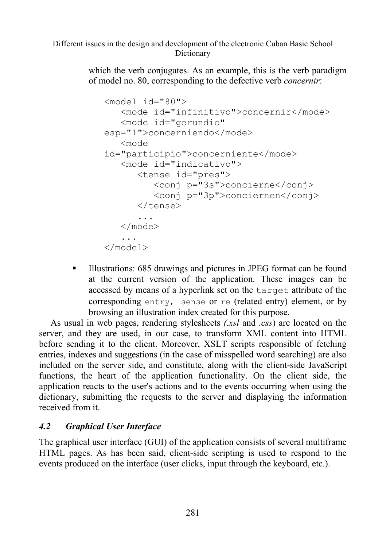which the verb conjugates. As an example, this is the verb paradigm of model no. 80, corresponding to the defective verb *concernir*:

```
<model id="80"> 
    <mode id="infinitivo">concernir</mode> 
    <mode id="gerundio" 
esp="1">concerniendo</mode> 
    <mode 
id="participio">concerniente</mode> 
    <mode id="indicativo"> 
       <tense id="pres"> 
           <conj p="3s">concierne</conj> 
          <conj p="3p">conciernen</conj> 
       </tense> 
 ... 
    </mode> 
    ... 
</model>
```
 Illustrations: 685 drawings and pictures in JPEG format can be found at the current version of the application. These images can be accessed by means of a hyperlink set on the target attribute of the corresponding entry, sense or re (related entry) element, or by browsing an illustration index created for this purpose.

As usual in web pages, rendering stylesheets *(.xsl* and *.css*) are located on the server, and they are used, in our case, to transform XML content into HTML before sending it to the client. Moreover, XSLT scripts responsible of fetching entries, indexes and suggestions (in the case of misspelled word searching) are also included on the server side, and constitute, along with the client-side JavaScript functions, the heart of the application functionality. On the client side, the application reacts to the user's actions and to the events occurring when using the dictionary, submitting the requests to the server and displaying the information received from it.

#### *4.2 Graphical User Interface*

The graphical user interface (GUI) of the application consists of several multiframe HTML pages. As has been said, client-side scripting is used to respond to the events produced on the interface (user clicks, input through the keyboard, etc.).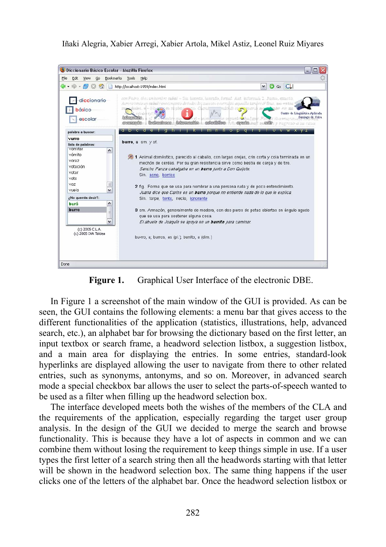

**Figure 1.** Graphical User Interface of the electronic DBE.

In Figure 1 a screenshot of the main window of the GUI is provided. As can be seen, the GUI contains the following elements: a menu bar that gives access to the different functionalities of the application (statistics, illustrations, help, advanced search, etc.), an alphabet bar for browsing the dictionary based on the first letter, an input textbox or search frame, a headword selection listbox, a suggestion listbox, and a main area for displaying the entries. In some entries, standard-look hyperlinks are displayed allowing the user to navigate from there to other related entries, such as synonyms, antonyms, and so on. Moreover, in advanced search mode a special checkbox bar allows the user to select the parts-of-speech wanted to be used as a filter when filling up the headword selection box.

The interface developed meets both the wishes of the members of the CLA and the requirements of the application, especially regarding the target user group analysis. In the design of the GUI we decided to merge the search and browse functionality. This is because they have a lot of aspects in common and we can combine them without losing the requirement to keep things simple in use. If a user types the first letter of a search string then all the headwords starting with that letter will be shown in the headword selection box. The same thing happens if the user clicks one of the letters of the alphabet bar. Once the headword selection listbox or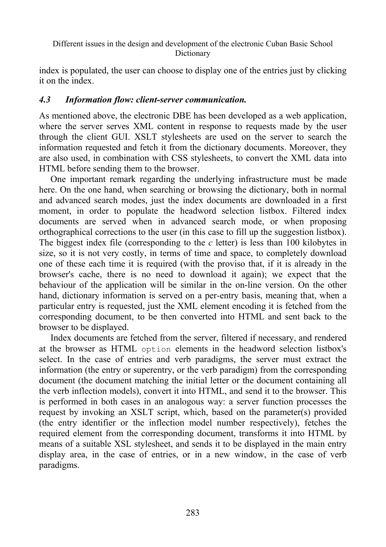```
Different issues in the design and development of the electronic Cuban Basic School 
                                    Dictionary
```
index is populated, the user can choose to display one of the entries just by clicking it on the index.

#### *4.3 Information flow: client-server communication.*

As mentioned above, the electronic DBE has been developed as a web application, where the server serves XML content in response to requests made by the user through the client GUI. XSLT stylesheets are used on the server to search the information requested and fetch it from the dictionary documents. Moreover, they are also used, in combination with CSS stylesheets, to convert the XML data into HTML before sending them to the browser.

One important remark regarding the underlying infrastructure must be made here. On the one hand, when searching or browsing the dictionary, both in normal and advanced search modes, just the index documents are downloaded in a first moment, in order to populate the headword selection listbox. Filtered index documents are served when in advanced search mode, or when proposing orthographical corrections to the user (in this case to fill up the suggestion listbox). The biggest index file (corresponding to the *c* letter) is less than 100 kilobytes in size, so it is not very costly, in terms of time and space, to completely download one of these each time it is required (with the proviso that, if it is already in the browser's cache, there is no need to download it again); we expect that the behaviour of the application will be similar in the on-line version. On the other hand, dictionary information is served on a per-entry basis, meaning that, when a particular entry is requested, just the XML element encoding it is fetched from the corresponding document, to be then converted into HTML and sent back to the browser to be displayed.

 Index documents are fetched from the server, filtered if necessary, and rendered at the browser as HTML option elements in the headword selection listbox's select. In the case of entries and verb paradigms, the server must extract the information (the entry or superentry, or the verb paradigm) from the corresponding document (the document matching the initial letter or the document containing all the verb inflection models), convert it into HTML, and send it to the browser. This is performed in both cases in an analogous way: a server function processes the request by invoking an XSLT script, which, based on the parameter(s) provided (the entry identifier or the inflection model number respectively), fetches the required element from the corresponding document, transforms it into HTML by means of a suitable XSL stylesheet, and sends it to be displayed in the main entry display area, in the case of entries, or in a new window, in the case of verb paradigms.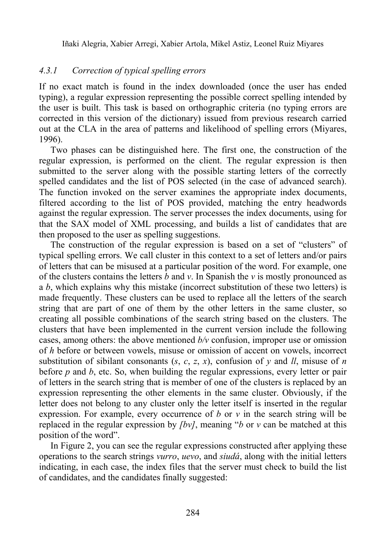#### <span id="page-11-0"></span>*4.3.1 Correction of typical spelling errors*

If no exact match is found in the index downloaded (once the user has ended typing), a regular expression representing the possible correct spelling intended by the user is built. This task is based on orthographic criteria (no typing errors are corrected in this version of the dictionary) issued from previous research carried out at the CLA in the area of patterns and likelihood of spelling errors (Miyares, 1996).

 Two phases can be distinguished here. The first one, the construction of the regular expression, is performed on the client. The regular expression is then submitted to the server along with the possible starting letters of the correctly spelled candidates and the list of POS selected (in the case of advanced search). The function invoked on the server examines the appropriate index documents, filtered according to the list of POS provided, matching the entry headwords against the regular expression. The server processes the index documents, using for that the SAX model of XML processing, and builds a list of candidates that are then proposed to the user as spelling suggestions.

 The construction of the regular expression is based on a set of "clusters" of typical spelling errors. We call cluster in this context to a set of letters and/or pairs of letters that can be misused [at a partic](#page-12-0)ular position of the word. For example, one of the clusters contains the letters *b* and *v*. In Spanish the *v* is mostly pronounced as a *b*, which explains why this mistake (incorrect substitution of these two letters) is made frequently. These clusters can be used to replace all the letters of the search string that are part of one of them by the other letters in the same cluster, so creating all possible combinations of the search string based on the clusters. The clusters that have been implemented in the current version include the following cases, among others: the above mentioned  $b/v$  confusion, improper use or omission of *h* before or between vowels, misuse or omission of accent on vowels, incorrect substitution of sibilant consonants  $(s, c, z, x)$ , confusion of  $y$  and  $ll$ , misuse of *n* before *p* and *b*, etc. So, when building the regular expressions, every letter or pair of letters in the search string that is member of one of the clusters is replaced by an expression representing the other elements in the same cluster. Obviously, if the letter does not belong to any cluster only the letter itself is inserted in the regular expression. For example, every occurrence of *b* or *v* in the search string will be replaced in the regular expression by *[bv]*, meaning "*b* or *v* can be matched at this position of the word".

 In Figure 2, you can see the regular expressions constructed after applying these operations to the search strings *vurro*, *uevo*, and *siudá*, along with the initial letters indicating, in each case, the index files that the server must check to build the list of candidates, and the candidates finally suggested: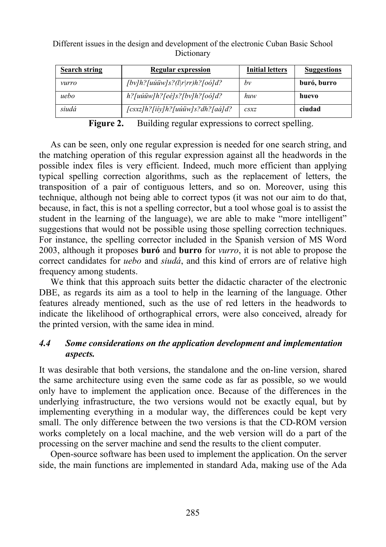<span id="page-12-0"></span>

| <b>Search string</b> | Regular expression                    | <b>Initial letters</b>         | <b>Suggestions</b> |
|----------------------|---------------------------------------|--------------------------------|--------------------|
| vurro                | $[by]h?$ [uúüw]s?( $l$  r rr)h?[oó]d? | bν                             | buró, burro        |
| uebo                 | $h$ ?[uúüw]h?[eé]s?[bv]h?[oó]d?       | huw                            | huevo              |
| siudá                | [csxz]h?[iiy]h?[uúüw]s?dh?[aá]d?      | $\mathcal{L}$ sx $\mathcal{I}$ | ciudad             |

Figure 2. Building regular expressions to correct spelling.

As can be seen, only one regular expression is needed for one search string, and the matching operation of this regular expression against all the headwords in the possible index files is very efficient. Indeed, much more efficient than applying typical spelling correction algorithms, such as the replacement of letters, the transposition of a pair of contiguous letters, and so on. Moreover, using this technique, although not being able to correct typos (it was not our aim to do that, because, in fact, this is not a spelling corrector, but a tool whose goal is to assist the student in the learning of the language), we are able to make "more intelligent" suggestions that would not be possible using those spelling correction techniques. For instance, the spelling corrector included in the Spanish version of MS Word 2003, although it proposes **buró** and **burro** for *vurro*, it is not able to propose the correct candidates for *uebo* and *siudá*, and this kind of errors are of relative high frequency among students.

We think that this approach suits better the didactic character of the electronic DBE, as regards its aim as a tool to help in the learning of the language. Other features already mentioned, such as the use of red letters in the headwords to indicate the likelihood of orthographical errors, were also conceived, already for the printed version, with the same idea in mind.

## *4.4 Some considerations on the application development and implementation aspects.*

It was desirable that both versions, the standalone and the on-line version, shared the same architecture using even the same code as far as possible, so we would only have to implement the application once. Because of the differences in the underlying infrastructure, the two versions would not be exactly equal, but by implementing everything in a modular way, the differences could be kept very small. The only difference between the two versions is that the CD-ROM version works completely on a local machine, and the web version will do a part of the processing on the server machine and send the results to the client computer.

 Open-source software has been used to implement the application. On the server side, the main functions are implemented in standard Ada, making use of the Ada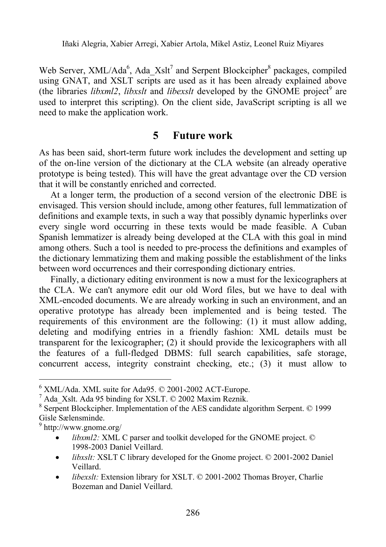Web Server, XML/Ada<sup>6</sup>, Ada Xslt<sup>7</sup> and Serpent Blockcipher<sup>8</sup> packages, compiled using GNAT, and XSLT scripts are used as it has been already explained above (the libraries *libxml2*, *libxslt* and *libexslt* developed by the GNOME project<sup>9</sup> are used to interpret this scripting). On the client side, JavaScript scripting is all we need to make the application work.

## **5 Future work**

As has been said, short-term future work includes the development and setting up of the on-line version of the dictionary at the CLA website (an already operative prototype is being tested). This will have the great advantage over the CD version that it will be constantly enriched and corrected.

 At a longer term, the production of a second version of the electronic DBE is envisaged. This version should include, among other features, full lemmatization of definitions and example texts, in such a way that possibly dynamic hyperlinks over every single word occurring in these texts would be made feasible. A Cuban Spanish lemmatizer is already being developed at the CLA with this goal in mind among others. Such a tool is needed to pre-process the definitions and examples of the dictionary lemmatizing them and making possible the establishment of the links between word occurrences and their corresponding dictionary entries.

 Finally, a dictionary editing environment is now a must for the lexicographers at the CLA. We can't anymore edit our old Word files, but we have to deal with XML-encoded documents. We are already working in such an environment, and an operative prototype has already been implemented and is being tested. The requirements of this environment are the following: (1) it must allow adding, deleting and modifying entries in a friendly fashion: XML details must be transparent for the lexicographer; (2) it should provide the lexicographers with all the features of a full-fledged DBMS: full search capabilities, safe storage, concurrent access, integrity constraint checking, etc.; (3) it must allow to

 $\overline{a}$ 

- *libxml2:* XML C parser and toolkit developed for the GNOME project. © 1998-2003 Daniel Veillard.
- *libxslt:* XSLT C library developed for the Gnome project. © 2001-2002 Daniel Veillard.
- *libexslt:* Extension library for XSLT. © 2001-2002 Thomas Broyer, Charlie Bozeman and Daniel Veillard.

 $6$  XML/Ada. XML suite for Ada95.  $©$  2001-2002 ACT-Europe.

<sup>7</sup> Ada\_Xslt. Ada 95 binding for XSLT. © 2002 Maxim Reznik.

<sup>&</sup>lt;sup>8</sup> Serpent Blockcipher. Implementation of the AES candidate algorithm Serpent. © 1999 Gisle Sælensminde.

<sup>9</sup> http://www.gnome.org/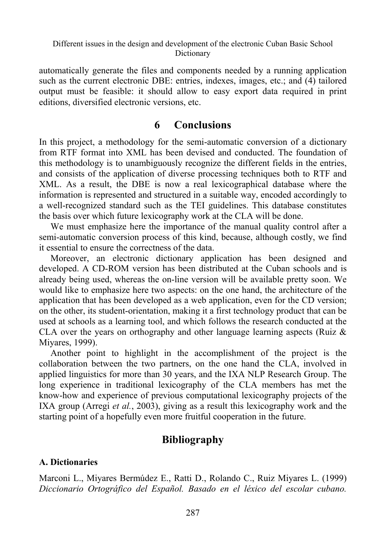automatically generate the files and components needed by a running application such as the current electronic DBE: entries, indexes, images, etc.; and (4) tailored output must be feasible: it should allow to easy export data required in print editions, diversified electronic versions, etc.

### **6 Conclusions**

In this project, a methodology for the semi-automatic conversion of a dictionary from RTF format into XML has been devised and conducted. The foundation of this methodology is to unambiguously recognize the different fields in the entries, and consists of the application of diverse processing techniques both to RTF and XML. As a result, the DBE is now a real lexicographical database where the information is represented and structured in a suitable way, encoded accordingly to a well-recognized standard such as the TEI guidelines. This database constitutes the basis over which future lexicography work at the CLA will be done.

We must emphasize here the importance of the manual quality control after a semi-automatic conversion process of this kind, because, although costly, we find it essential to ensure the correctness of the data.

Moreover, an electronic dictionary application has been designed and developed. A CD-ROM version has been distributed at the Cuban schools and is already being used, whereas the on-line version will be available pretty soon. We would like to emphasize here two aspects: on the one hand, the architecture of the application that has been developed as a web application, even for the CD version; on the other, its student-orientation, making it a first technology product that can be used at schools as a learning tool, and which follows the research conducted at the CLA over the years on orthography and other language learning aspects (Ruiz  $\&$ Miyares, 1999).

Another point to highlight in the accomplishment of the project is the collaboration between the two partners, on the one hand the CLA, involved in applied linguistics for more than 30 years, and the IXA NLP Research Group. The long experience in traditional lexicography of the CLA members has met the know-how and experience of previous computational lexicography projects of the IXA group (Arregi *et al.*, 2003), giving as a result this lexicography work and the starting point of a hopefully even more fruitful cooperation in the future.

## **Bibliography**

#### **A. Dictionaries**

Marconi L., Miyares Bermúdez E., Ratti D., Rolando C., Ruiz Miyares L. (1999) *Diccionario Ortográfico del Español. Basado en el léxico del escolar cubano.*